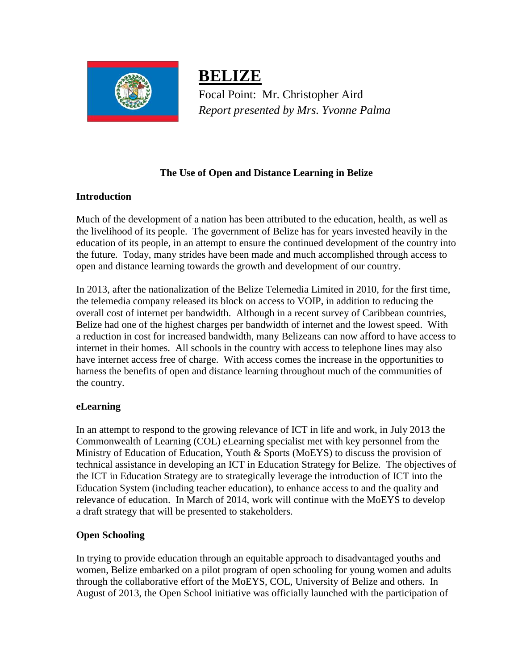

**BELIZE** Focal Point: Mr. Christopher Aird *Report presented by Mrs. Yvonne Palma*

# **The Use of Open and Distance Learning in Belize**

## **Introduction**

Much of the development of a nation has been attributed to the education, health, as well as the livelihood of its people. The government of Belize has for years invested heavily in the education of its people, in an attempt to ensure the continued development of the country into the future. Today, many strides have been made and much accomplished through access to open and distance learning towards the growth and development of our country.

In 2013, after the nationalization of the Belize Telemedia Limited in 2010, for the first time, the telemedia company released its block on access to VOIP, in addition to reducing the overall cost of internet per bandwidth. Although in a recent survey of Caribbean countries, Belize had one of the highest charges per bandwidth of internet and the lowest speed. With a reduction in cost for increased bandwidth, many Belizeans can now afford to have access to internet in their homes. All schools in the country with access to telephone lines may also have internet access free of charge. With access comes the increase in the opportunities to harness the benefits of open and distance learning throughout much of the communities of the country.

### **eLearning**

In an attempt to respond to the growing relevance of ICT in life and work, in July 2013 the Commonwealth of Learning (COL) eLearning specialist met with key personnel from the Ministry of Education of Education, Youth & Sports (MoEYS) to discuss the provision of technical assistance in developing an ICT in Education Strategy for Belize. The objectives of the ICT in Education Strategy are to strategically leverage the introduction of ICT into the Education System (including teacher education), to enhance access to and the quality and relevance of education. In March of 2014, work will continue with the MoEYS to develop a draft strategy that will be presented to stakeholders.

### **Open Schooling**

In trying to provide education through an equitable approach to disadvantaged youths and women, Belize embarked on a pilot program of open schooling for young women and adults through the collaborative effort of the MoEYS, COL, University of Belize and others. In August of 2013, the Open School initiative was officially launched with the participation of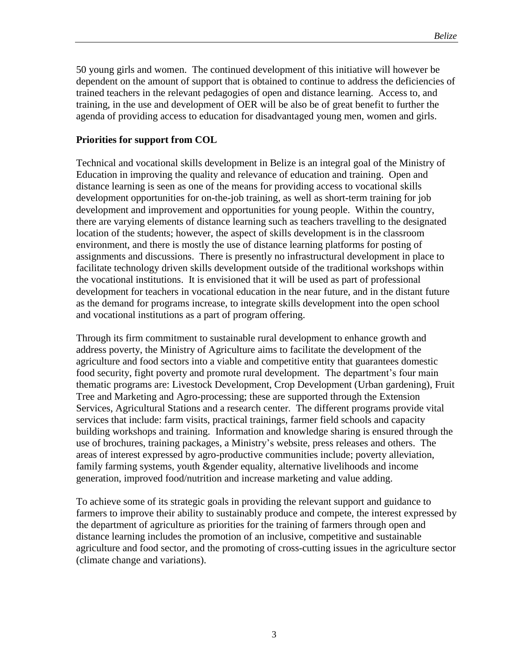50 young girls and women. The continued development of this initiative will however be dependent on the amount of support that is obtained to continue to address the deficiencies of trained teachers in the relevant pedagogies of open and distance learning. Access to, and training, in the use and development of OER will be also be of great benefit to further the agenda of providing access to education for disadvantaged young men, women and girls.

### **Priorities for support from COL**

Technical and vocational skills development in Belize is an integral goal of the Ministry of Education in improving the quality and relevance of education and training. Open and distance learning is seen as one of the means for providing access to vocational skills development opportunities for on-the-job training, as well as short-term training for job development and improvement and opportunities for young people. Within the country, there are varying elements of distance learning such as teachers travelling to the designated location of the students; however, the aspect of skills development is in the classroom environment, and there is mostly the use of distance learning platforms for posting of assignments and discussions. There is presently no infrastructural development in place to facilitate technology driven skills development outside of the traditional workshops within the vocational institutions. It is envisioned that it will be used as part of professional development for teachers in vocational education in the near future, and in the distant future as the demand for programs increase, to integrate skills development into the open school and vocational institutions as a part of program offering.

Through its firm commitment to sustainable rural development to enhance growth and address poverty, the Ministry of Agriculture aims to facilitate the development of the agriculture and food sectors into a viable and competitive entity that guarantees domestic food security, fight poverty and promote rural development. The department's four main thematic programs are: Livestock Development, Crop Development (Urban gardening), Fruit Tree and Marketing and Agro-processing; these are supported through the Extension Services, Agricultural Stations and a research center. The different programs provide vital services that include: farm visits, practical trainings, farmer field schools and capacity building workshops and training. Information and knowledge sharing is ensured through the use of brochures, training packages, a Ministry's website, press releases and others. The areas of interest expressed by agro-productive communities include; poverty alleviation, family farming systems, youth &gender equality, alternative livelihoods and income generation, improved food/nutrition and increase marketing and value adding.

To achieve some of its strategic goals in providing the relevant support and guidance to farmers to improve their ability to sustainably produce and compete, the interest expressed by the department of agriculture as priorities for the training of farmers through open and distance learning includes the promotion of an inclusive, competitive and sustainable agriculture and food sector, and the promoting of cross-cutting issues in the agriculture sector (climate change and variations).